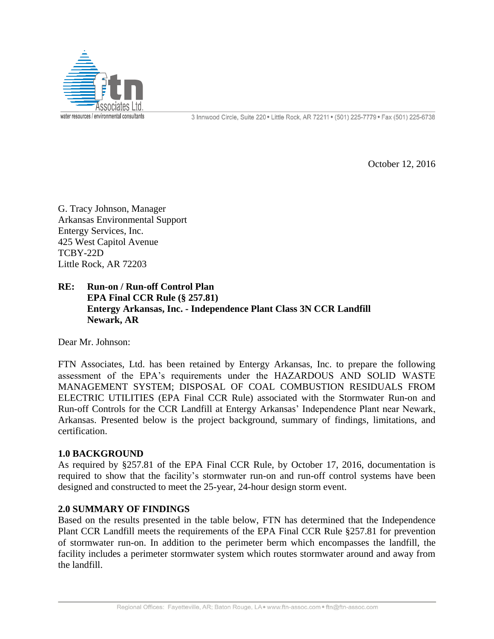

October 12, 2016

G. Tracy Johnson, Manager Arkansas Environmental Support Entergy Services, Inc. 425 West Capitol Avenue TCBY-22D Little Rock, AR 72203

## **RE: Run-on / Run-off Control Plan EPA Final CCR Rule (§ 257.81) Entergy Arkansas, Inc. - Independence Plant Class 3N CCR Landfill Newark, AR**

Dear Mr. Johnson:

FTN Associates, Ltd. has been retained by Entergy Arkansas, Inc. to prepare the following assessment of the EPA's requirements under the HAZARDOUS AND SOLID WASTE MANAGEMENT SYSTEM; DISPOSAL OF COAL COMBUSTION RESIDUALS FROM ELECTRIC UTILITIES (EPA Final CCR Rule) associated with the Stormwater Run-on and Run-off Controls for the CCR Landfill at Entergy Arkansas' Independence Plant near Newark, Arkansas. Presented below is the project background, summary of findings, limitations, and certification.

### **1.0 BACKGROUND**

As required by §257.81 of the EPA Final CCR Rule, by October 17, 2016, documentation is required to show that the facility's stormwater run-on and run-off control systems have been designed and constructed to meet the 25-year, 24-hour design storm event.

### **2.0 SUMMARY OF FINDINGS**

Based on the results presented in the table below, FTN has determined that the Independence Plant CCR Landfill meets the requirements of the EPA Final CCR Rule §257.81 for prevention of stormwater run-on. In addition to the perimeter berm which encompasses the landfill, the facility includes a perimeter stormwater system which routes stormwater around and away from the landfill.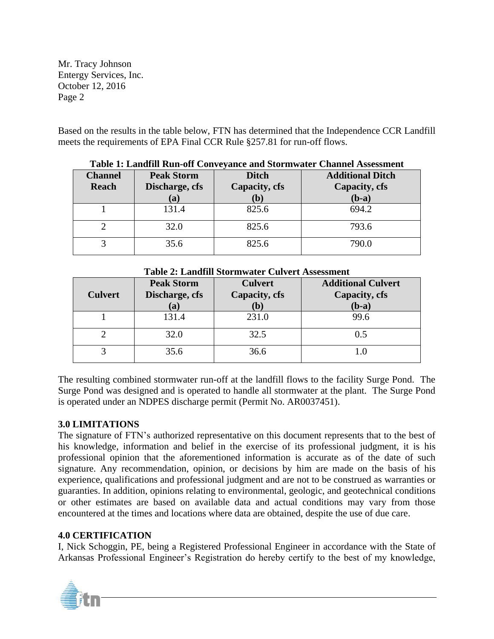Mr. Tracy Johnson Entergy Services, Inc. October 12, 2016 Page 2

Based on the results in the table below, FTN has determined that the Independence CCR Landfill meets the requirements of EPA Final CCR Rule §257.81 for run-off flows.

| <b>Channel</b><br>Reach | <b>Peak Storm</b><br>Discharge, cfs<br>(a) | <b>Ditch</b><br>Capacity, cfs<br>(b) | <b>Additional Ditch</b><br>Capacity, cfs<br>$(b-a)$ |
|-------------------------|--------------------------------------------|--------------------------------------|-----------------------------------------------------|
|                         | 131.4                                      | 825.6                                | 694.2                                               |
|                         | 32.0                                       | 825.6                                | 793.6                                               |
| 2                       | 35.6                                       | 825.6                                | 790.0                                               |

### **Table 1: Landfill Run-off Conveyance and Stormwater Channel Assessment**

| <b>Culvert</b> | <b>Peak Storm</b><br>Discharge, cfs<br>(a) | <b>Culvert</b><br>Capacity, cfs<br>$\mathbf{b}$ | <b>Additional Culvert</b><br>Capacity, cfs<br>$(b-a)$ |
|----------------|--------------------------------------------|-------------------------------------------------|-------------------------------------------------------|
|                | 131.4                                      | 231.0                                           | 99.6                                                  |
|                | 32.0                                       | 32.5                                            | 0.5                                                   |
|                | 35.6                                       | 36.6                                            |                                                       |

**Table 2: Landfill Stormwater Culvert Assessment**

The resulting combined stormwater run-off at the landfill flows to the facility Surge Pond. The Surge Pond was designed and is operated to handle all stormwater at the plant. The Surge Pond is operated under an NDPES discharge permit (Permit No. AR0037451).

# **3.0 LIMITATIONS**

The signature of FTN's authorized representative on this document represents that to the best of his knowledge, information and belief in the exercise of its professional judgment, it is his professional opinion that the aforementioned information is accurate as of the date of such signature. Any recommendation, opinion, or decisions by him are made on the basis of his experience, qualifications and professional judgment and are not to be construed as warranties or guaranties. In addition, opinions relating to environmental, geologic, and geotechnical conditions or other estimates are based on available data and actual conditions may vary from those encountered at the times and locations where data are obtained, despite the use of due care.

# **4.0 CERTIFICATION**

I, Nick Schoggin, PE, being a Registered Professional Engineer in accordance with the State of Arkansas Professional Engineer's Registration do hereby certify to the best of my knowledge,